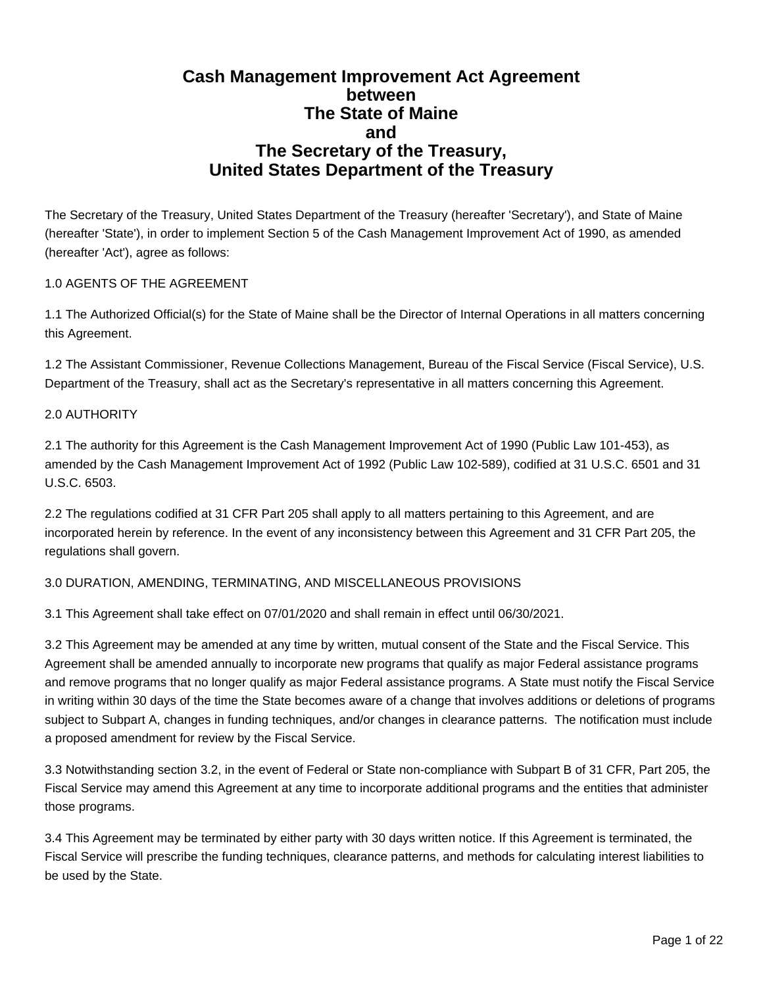# **Cash Management Improvement Act Agreement between The State of Maine and The Secretary of the Treasury, United States Department of the Treasury**

The Secretary of the Treasury, United States Department of the Treasury (hereafter 'Secretary'), and State of Maine (hereafter 'State'), in order to implement Section 5 of the Cash Management Improvement Act of 1990, as amended (hereafter 'Act'), agree as follows:

# 1.0 AGENTS OF THE AGREEMENT

1.1 The Authorized Official(s) for the State of Maine shall be the Director of Internal Operations in all matters concerning this Agreement.

1.2 The Assistant Commissioner, Revenue Collections Management, Bureau of the Fiscal Service (Fiscal Service), U.S. Department of the Treasury, shall act as the Secretary's representative in all matters concerning this Agreement.

# 2.0 AUTHORITY

2.1 The authority for this Agreement is the Cash Management Improvement Act of 1990 (Public Law 101-453), as amended by the Cash Management Improvement Act of 1992 (Public Law 102-589), codified at 31 U.S.C. 6501 and 31 U.S.C. 6503.

2.2 The regulations codified at 31 CFR Part 205 shall apply to all matters pertaining to this Agreement, and are incorporated herein by reference. In the event of any inconsistency between this Agreement and 31 CFR Part 205, the regulations shall govern.

# 3.0 DURATION, AMENDING, TERMINATING, AND MISCELLANEOUS PROVISIONS

3.1 This Agreement shall take effect on 07/01/2020 and shall remain in effect until 06/30/2021.

3.2 This Agreement may be amended at any time by written, mutual consent of the State and the Fiscal Service. This Agreement shall be amended annually to incorporate new programs that qualify as major Federal assistance programs and remove programs that no longer qualify as major Federal assistance programs. A State must notify the Fiscal Service in writing within 30 days of the time the State becomes aware of a change that involves additions or deletions of programs subject to Subpart A, changes in funding techniques, and/or changes in clearance patterns. The notification must include a proposed amendment for review by the Fiscal Service.

3.3 Notwithstanding section 3.2, in the event of Federal or State non-compliance with Subpart B of 31 CFR, Part 205, the Fiscal Service may amend this Agreement at any time to incorporate additional programs and the entities that administer those programs.

3.4 This Agreement may be terminated by either party with 30 days written notice. If this Agreement is terminated, the Fiscal Service will prescribe the funding techniques, clearance patterns, and methods for calculating interest liabilities to be used by the State.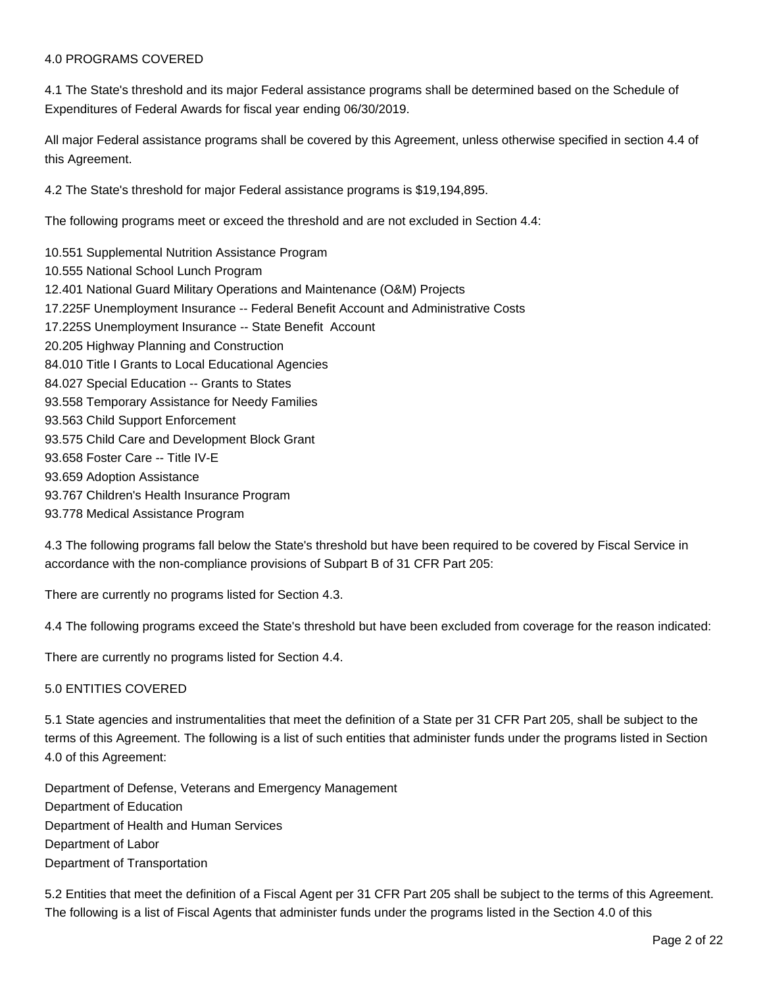#### 4.0 PROGRAMS COVERED

4.1 The State's threshold and its major Federal assistance programs shall be determined based on the Schedule of Expenditures of Federal Awards for fiscal year ending 06/30/2019.

All major Federal assistance programs shall be covered by this Agreement, unless otherwise specified in section 4.4 of this Agreement.

4.2 The State's threshold for major Federal assistance programs is \$19,194,895.

The following programs meet or exceed the threshold and are not excluded in Section 4.4:

10.551 Supplemental Nutrition Assistance Program 10.555 National School Lunch Program 12.401 National Guard Military Operations and Maintenance (O&M) Projects 17.225F Unemployment Insurance -- Federal Benefit Account and Administrative Costs 17.225S Unemployment Insurance -- State Benefit Account 20.205 Highway Planning and Construction 84.010 Title I Grants to Local Educational Agencies 84.027 Special Education -- Grants to States 93.558 Temporary Assistance for Needy Families 93.563 Child Support Enforcement 93.575 Child Care and Development Block Grant 93.658 Foster Care -- Title IV-E 93.659 Adoption Assistance 93.767 Children's Health Insurance Program 93.778 Medical Assistance Program

4.3 The following programs fall below the State's threshold but have been required to be covered by Fiscal Service in accordance with the non-compliance provisions of Subpart B of 31 CFR Part 205:

There are currently no programs listed for Section 4.3.

4.4 The following programs exceed the State's threshold but have been excluded from coverage for the reason indicated:

There are currently no programs listed for Section 4.4.

#### 5.0 ENTITIES COVERED

5.1 State agencies and instrumentalities that meet the definition of a State per 31 CFR Part 205, shall be subject to the terms of this Agreement. The following is a list of such entities that administer funds under the programs listed in Section 4.0 of this Agreement:

Department of Defense, Veterans and Emergency Management Department of Education Department of Health and Human Services Department of Labor Department of Transportation

5.2 Entities that meet the definition of a Fiscal Agent per 31 CFR Part 205 shall be subject to the terms of this Agreement. The following is a list of Fiscal Agents that administer funds under the programs listed in the Section 4.0 of this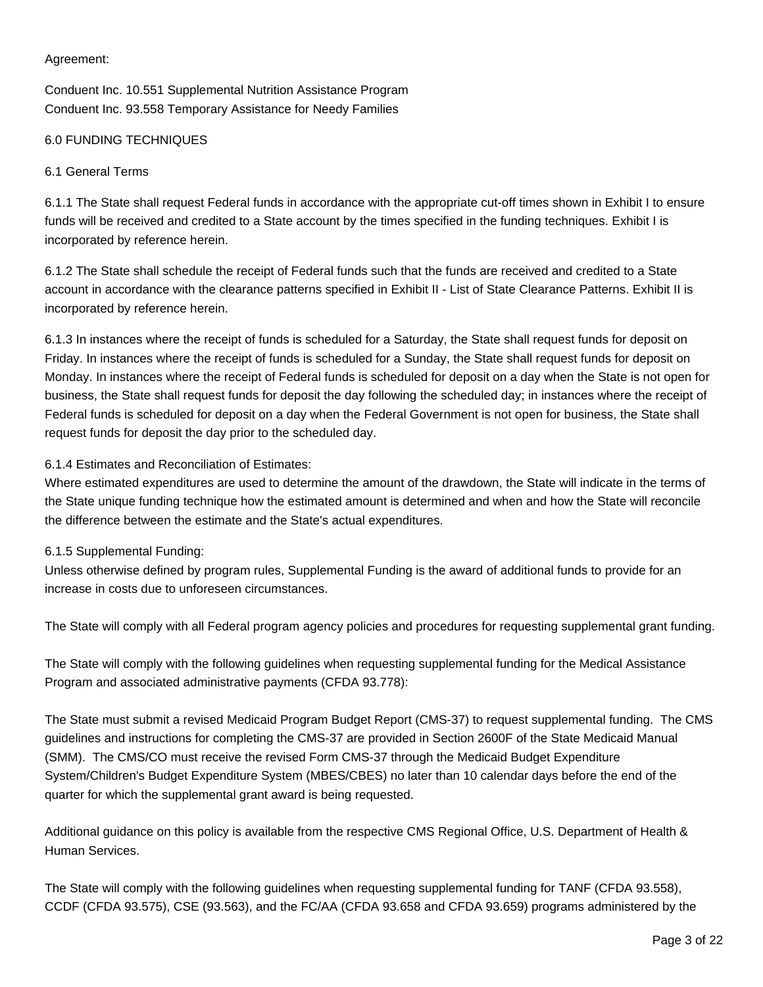# Agreement:

Conduent Inc. 10.551 Supplemental Nutrition Assistance Program Conduent Inc. 93.558 Temporary Assistance for Needy Families

# 6.0 FUNDING TECHNIQUES

# 6.1 General Terms

6.1.1 The State shall request Federal funds in accordance with the appropriate cut-off times shown in Exhibit I to ensure funds will be received and credited to a State account by the times specified in the funding techniques. Exhibit I is incorporated by reference herein.

6.1.2 The State shall schedule the receipt of Federal funds such that the funds are received and credited to a State account in accordance with the clearance patterns specified in Exhibit II - List of State Clearance Patterns. Exhibit II is incorporated by reference herein.

6.1.3 In instances where the receipt of funds is scheduled for a Saturday, the State shall request funds for deposit on Friday. In instances where the receipt of funds is scheduled for a Sunday, the State shall request funds for deposit on Monday. In instances where the receipt of Federal funds is scheduled for deposit on a day when the State is not open for business, the State shall request funds for deposit the day following the scheduled day; in instances where the receipt of Federal funds is scheduled for deposit on a day when the Federal Government is not open for business, the State shall request funds for deposit the day prior to the scheduled day.

# 6.1.4 Estimates and Reconciliation of Estimates:

Where estimated expenditures are used to determine the amount of the drawdown, the State will indicate in the terms of the State unique funding technique how the estimated amount is determined and when and how the State will reconcile the difference between the estimate and the State's actual expenditures.

# 6.1.5 Supplemental Funding:

Unless otherwise defined by program rules, Supplemental Funding is the award of additional funds to provide for an increase in costs due to unforeseen circumstances.

The State will comply with all Federal program agency policies and procedures for requesting supplemental grant funding.

The State will comply with the following guidelines when requesting supplemental funding for the Medical Assistance Program and associated administrative payments (CFDA 93.778):

The State must submit a revised Medicaid Program Budget Report (CMS-37) to request supplemental funding. The CMS guidelines and instructions for completing the CMS-37 are provided in Section 2600F of the State Medicaid Manual (SMM). The CMS/CO must receive the revised Form CMS-37 through the Medicaid Budget Expenditure System/Children's Budget Expenditure System (MBES/CBES) no later than 10 calendar days before the end of the quarter for which the supplemental grant award is being requested.

Additional guidance on this policy is available from the respective CMS Regional Office, U.S. Department of Health & Human Services.

The State will comply with the following guidelines when requesting supplemental funding for TANF (CFDA 93.558), CCDF (CFDA 93.575), CSE (93.563), and the FC/AA (CFDA 93.658 and CFDA 93.659) programs administered by the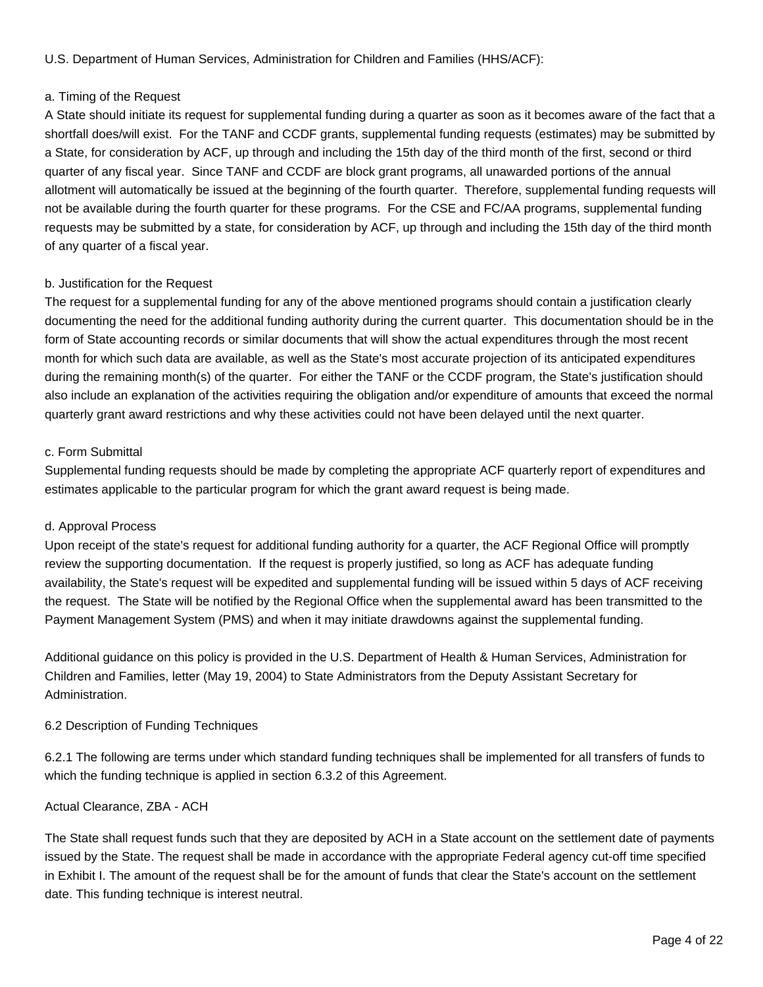U.S. Department of Human Services, Administration for Children and Families (HHS/ACF):

# a. Timing of the Request

A State should initiate its request for supplemental funding during a quarter as soon as it becomes aware of the fact that a shortfall does/will exist. For the TANF and CCDF grants, supplemental funding requests (estimates) may be submitted by a State, for consideration by ACF, up through and including the 15th day of the third month of the first, second or third quarter of any fiscal year. Since TANF and CCDF are block grant programs, all unawarded portions of the annual allotment will automatically be issued at the beginning of the fourth quarter. Therefore, supplemental funding requests will not be available during the fourth quarter for these programs. For the CSE and FC/AA programs, supplemental funding requests may be submitted by a state, for consideration by ACF, up through and including the 15th day of the third month of any quarter of a fiscal year.

# b. Justification for the Request

The request for a supplemental funding for any of the above mentioned programs should contain a justification clearly documenting the need for the additional funding authority during the current quarter. This documentation should be in the form of State accounting records or similar documents that will show the actual expenditures through the most recent month for which such data are available, as well as the State's most accurate projection of its anticipated expenditures during the remaining month(s) of the quarter. For either the TANF or the CCDF program, the State's justification should also include an explanation of the activities requiring the obligation and/or expenditure of amounts that exceed the normal quarterly grant award restrictions and why these activities could not have been delayed until the next quarter.

# c. Form Submittal

Supplemental funding requests should be made by completing the appropriate ACF quarterly report of expenditures and estimates applicable to the particular program for which the grant award request is being made.

# d. Approval Process

Upon receipt of the state's request for additional funding authority for a quarter, the ACF Regional Office will promptly review the supporting documentation. If the request is properly justified, so long as ACF has adequate funding availability, the State's request will be expedited and supplemental funding will be issued within 5 days of ACF receiving the request. The State will be notified by the Regional Office when the supplemental award has been transmitted to the Payment Management System (PMS) and when it may initiate drawdowns against the supplemental funding.

Additional guidance on this policy is provided in the U.S. Department of Health & Human Services, Administration for Children and Families, letter (May 19, 2004) to State Administrators from the Deputy Assistant Secretary for Administration.

# 6.2 Description of Funding Techniques

6.2.1 The following are terms under which standard funding techniques shall be implemented for all transfers of funds to which the funding technique is applied in section 6.3.2 of this Agreement.

# Actual Clearance, ZBA - ACH

The State shall request funds such that they are deposited by ACH in a State account on the settlement date of payments issued by the State. The request shall be made in accordance with the appropriate Federal agency cut-off time specified in Exhibit I. The amount of the request shall be for the amount of funds that clear the State's account on the settlement date. This funding technique is interest neutral.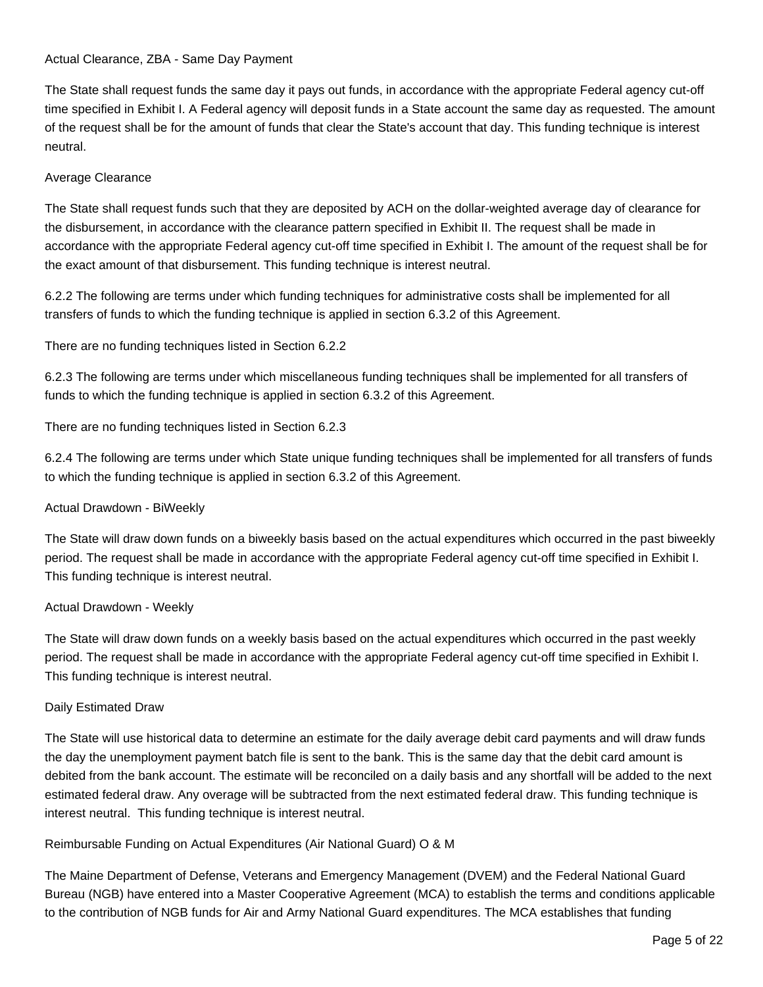# Actual Clearance, ZBA - Same Day Payment

The State shall request funds the same day it pays out funds, in accordance with the appropriate Federal agency cut-off time specified in Exhibit I. A Federal agency will deposit funds in a State account the same day as requested. The amount of the request shall be for the amount of funds that clear the State's account that day. This funding technique is interest neutral.

# Average Clearance

The State shall request funds such that they are deposited by ACH on the dollar-weighted average day of clearance for the disbursement, in accordance with the clearance pattern specified in Exhibit II. The request shall be made in accordance with the appropriate Federal agency cut-off time specified in Exhibit I. The amount of the request shall be for the exact amount of that disbursement. This funding technique is interest neutral.

6.2.2 The following are terms under which funding techniques for administrative costs shall be implemented for all transfers of funds to which the funding technique is applied in section 6.3.2 of this Agreement.

There are no funding techniques listed in Section 6.2.2

6.2.3 The following are terms under which miscellaneous funding techniques shall be implemented for all transfers of funds to which the funding technique is applied in section 6.3.2 of this Agreement.

There are no funding techniques listed in Section 6.2.3

6.2.4 The following are terms under which State unique funding techniques shall be implemented for all transfers of funds to which the funding technique is applied in section 6.3.2 of this Agreement.

# Actual Drawdown - BiWeekly

The State will draw down funds on a biweekly basis based on the actual expenditures which occurred in the past biweekly period. The request shall be made in accordance with the appropriate Federal agency cut-off time specified in Exhibit I. This funding technique is interest neutral.

# Actual Drawdown - Weekly

The State will draw down funds on a weekly basis based on the actual expenditures which occurred in the past weekly period. The request shall be made in accordance with the appropriate Federal agency cut-off time specified in Exhibit I. This funding technique is interest neutral.

# Daily Estimated Draw

The State will use historical data to determine an estimate for the daily average debit card payments and will draw funds the day the unemployment payment batch file is sent to the bank. This is the same day that the debit card amount is debited from the bank account. The estimate will be reconciled on a daily basis and any shortfall will be added to the next estimated federal draw. Any overage will be subtracted from the next estimated federal draw. This funding technique is interest neutral. This funding technique is interest neutral.

# Reimbursable Funding on Actual Expenditures (Air National Guard) O & M

The Maine Department of Defense, Veterans and Emergency Management (DVEM) and the Federal National Guard Bureau (NGB) have entered into a Master Cooperative Agreement (MCA) to establish the terms and conditions applicable to the contribution of NGB funds for Air and Army National Guard expenditures. The MCA establishes that funding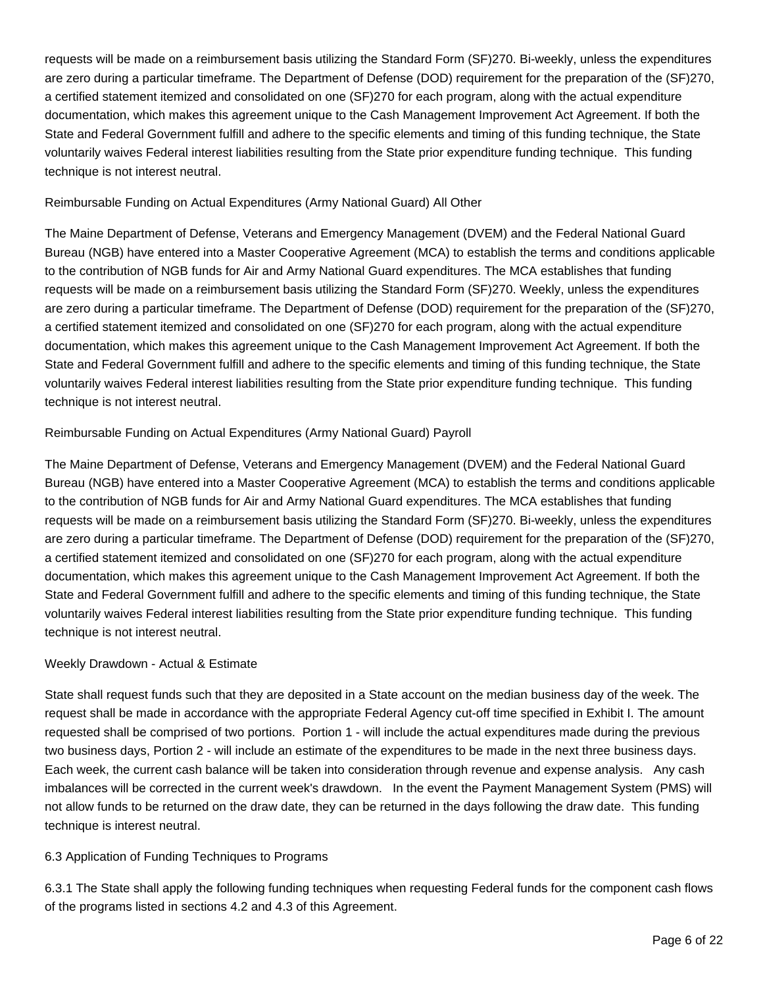requests will be made on a reimbursement basis utilizing the Standard Form (SF)270. Bi-weekly, unless the expenditures are zero during a particular timeframe. The Department of Defense (DOD) requirement for the preparation of the (SF)270, a certified statement itemized and consolidated on one (SF)270 for each program, along with the actual expenditure documentation, which makes this agreement unique to the Cash Management Improvement Act Agreement. If both the State and Federal Government fulfill and adhere to the specific elements and timing of this funding technique, the State voluntarily waives Federal interest liabilities resulting from the State prior expenditure funding technique. This funding technique is not interest neutral.

# Reimbursable Funding on Actual Expenditures (Army National Guard) All Other

The Maine Department of Defense, Veterans and Emergency Management (DVEM) and the Federal National Guard Bureau (NGB) have entered into a Master Cooperative Agreement (MCA) to establish the terms and conditions applicable to the contribution of NGB funds for Air and Army National Guard expenditures. The MCA establishes that funding requests will be made on a reimbursement basis utilizing the Standard Form (SF)270. Weekly, unless the expenditures are zero during a particular timeframe. The Department of Defense (DOD) requirement for the preparation of the (SF)270, a certified statement itemized and consolidated on one (SF)270 for each program, along with the actual expenditure documentation, which makes this agreement unique to the Cash Management Improvement Act Agreement. If both the State and Federal Government fulfill and adhere to the specific elements and timing of this funding technique, the State voluntarily waives Federal interest liabilities resulting from the State prior expenditure funding technique. This funding technique is not interest neutral.

# Reimbursable Funding on Actual Expenditures (Army National Guard) Payroll

The Maine Department of Defense, Veterans and Emergency Management (DVEM) and the Federal National Guard Bureau (NGB) have entered into a Master Cooperative Agreement (MCA) to establish the terms and conditions applicable to the contribution of NGB funds for Air and Army National Guard expenditures. The MCA establishes that funding requests will be made on a reimbursement basis utilizing the Standard Form (SF)270. Bi-weekly, unless the expenditures are zero during a particular timeframe. The Department of Defense (DOD) requirement for the preparation of the (SF)270, a certified statement itemized and consolidated on one (SF)270 for each program, along with the actual expenditure documentation, which makes this agreement unique to the Cash Management Improvement Act Agreement. If both the State and Federal Government fulfill and adhere to the specific elements and timing of this funding technique, the State voluntarily waives Federal interest liabilities resulting from the State prior expenditure funding technique. This funding technique is not interest neutral.

# Weekly Drawdown - Actual & Estimate

State shall request funds such that they are deposited in a State account on the median business day of the week. The request shall be made in accordance with the appropriate Federal Agency cut-off time specified in Exhibit I. The amount requested shall be comprised of two portions. Portion 1 - will include the actual expenditures made during the previous two business days, Portion 2 - will include an estimate of the expenditures to be made in the next three business days. Each week, the current cash balance will be taken into consideration through revenue and expense analysis. Any cash imbalances will be corrected in the current week's drawdown. In the event the Payment Management System (PMS) will not allow funds to be returned on the draw date, they can be returned in the days following the draw date. This funding technique is interest neutral.

# 6.3 Application of Funding Techniques to Programs

6.3.1 The State shall apply the following funding techniques when requesting Federal funds for the component cash flows of the programs listed in sections 4.2 and 4.3 of this Agreement.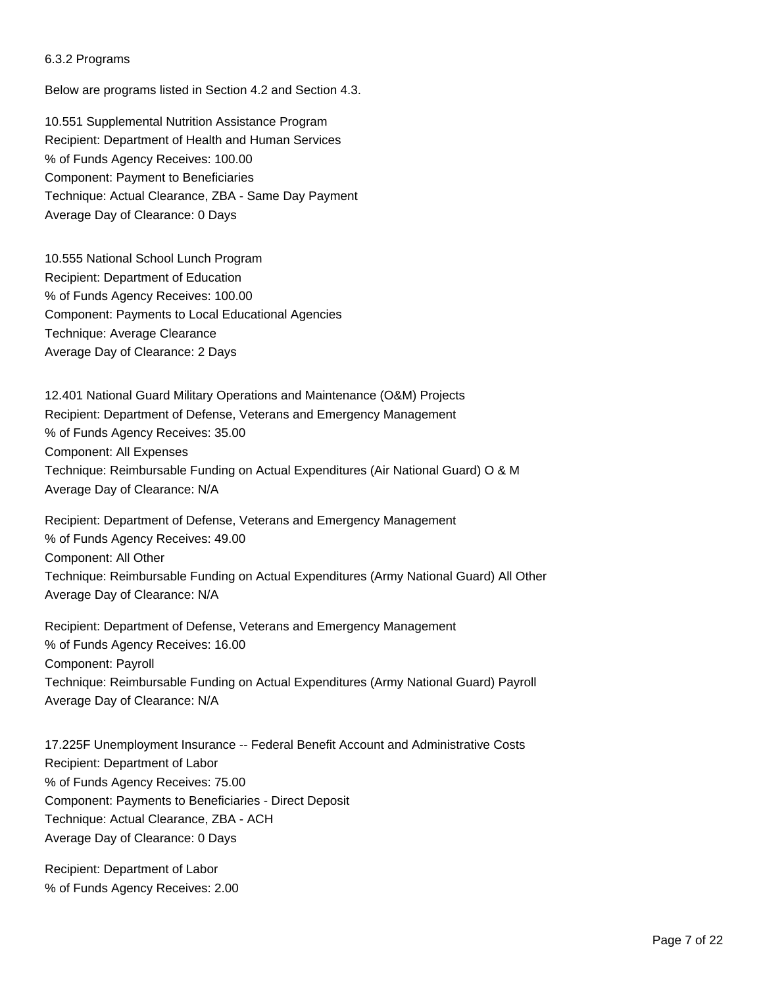#### 6.3.2 Programs

Below are programs listed in Section 4.2 and Section 4.3.

10.551 Supplemental Nutrition Assistance Program Recipient: Department of Health and Human Services % of Funds Agency Receives: 100.00 Component: Payment to Beneficiaries Technique: Actual Clearance, ZBA - Same Day Payment Average Day of Clearance: 0 Days

10.555 National School Lunch Program Recipient: Department of Education % of Funds Agency Receives: 100.00 Component: Payments to Local Educational Agencies Technique: Average Clearance Average Day of Clearance: 2 Days

12.401 National Guard Military Operations and Maintenance (O&M) Projects Recipient: Department of Defense, Veterans and Emergency Management % of Funds Agency Receives: 35.00 Component: All Expenses Technique: Reimbursable Funding on Actual Expenditures (Air National Guard) O & M Average Day of Clearance: N/A

Recipient: Department of Defense, Veterans and Emergency Management % of Funds Agency Receives: 49.00 Component: All Other Technique: Reimbursable Funding on Actual Expenditures (Army National Guard) All Other Average Day of Clearance: N/A

Recipient: Department of Defense, Veterans and Emergency Management % of Funds Agency Receives: 16.00 Component: Payroll Technique: Reimbursable Funding on Actual Expenditures (Army National Guard) Payroll Average Day of Clearance: N/A

17.225F Unemployment Insurance -- Federal Benefit Account and Administrative Costs Recipient: Department of Labor % of Funds Agency Receives: 75.00 Component: Payments to Beneficiaries - Direct Deposit Technique: Actual Clearance, ZBA - ACH Average Day of Clearance: 0 Days

Recipient: Department of Labor % of Funds Agency Receives: 2.00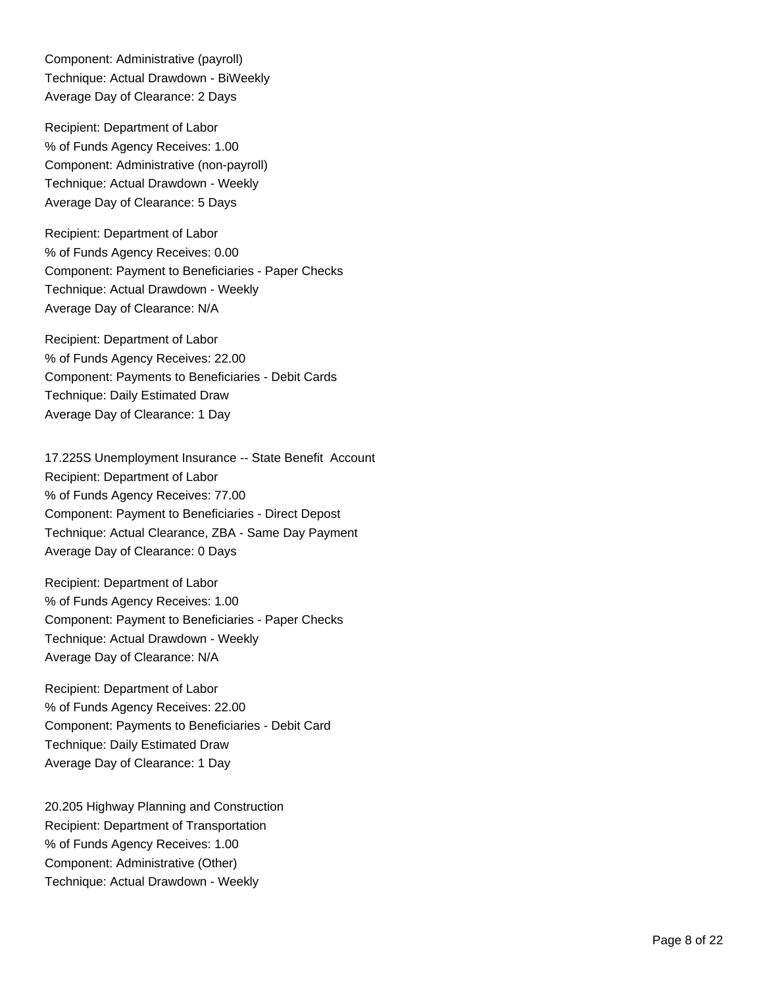Component: Administrative (payroll) Technique: Actual Drawdown - BiWeekly Average Day of Clearance: 2 Days

Recipient: Department of Labor % of Funds Agency Receives: 1.00 Component: Administrative (non-payroll) Technique: Actual Drawdown - Weekly Average Day of Clearance: 5 Days

Recipient: Department of Labor % of Funds Agency Receives: 0.00 Component: Payment to Beneficiaries - Paper Checks Technique: Actual Drawdown - Weekly Average Day of Clearance: N/A

Recipient: Department of Labor % of Funds Agency Receives: 22.00 Component: Payments to Beneficiaries - Debit Cards Technique: Daily Estimated Draw Average Day of Clearance: 1 Day

17.225S Unemployment Insurance -- State Benefit Account Recipient: Department of Labor % of Funds Agency Receives: 77.00 Component: Payment to Beneficiaries - Direct Depost Technique: Actual Clearance, ZBA - Same Day Payment Average Day of Clearance: 0 Days

Recipient: Department of Labor % of Funds Agency Receives: 1.00 Component: Payment to Beneficiaries - Paper Checks Technique: Actual Drawdown - Weekly Average Day of Clearance: N/A

Recipient: Department of Labor % of Funds Agency Receives: 22.00 Component: Payments to Beneficiaries - Debit Card Technique: Daily Estimated Draw Average Day of Clearance: 1 Day

20.205 Highway Planning and Construction Recipient: Department of Transportation % of Funds Agency Receives: 1.00 Component: Administrative (Other) Technique: Actual Drawdown - Weekly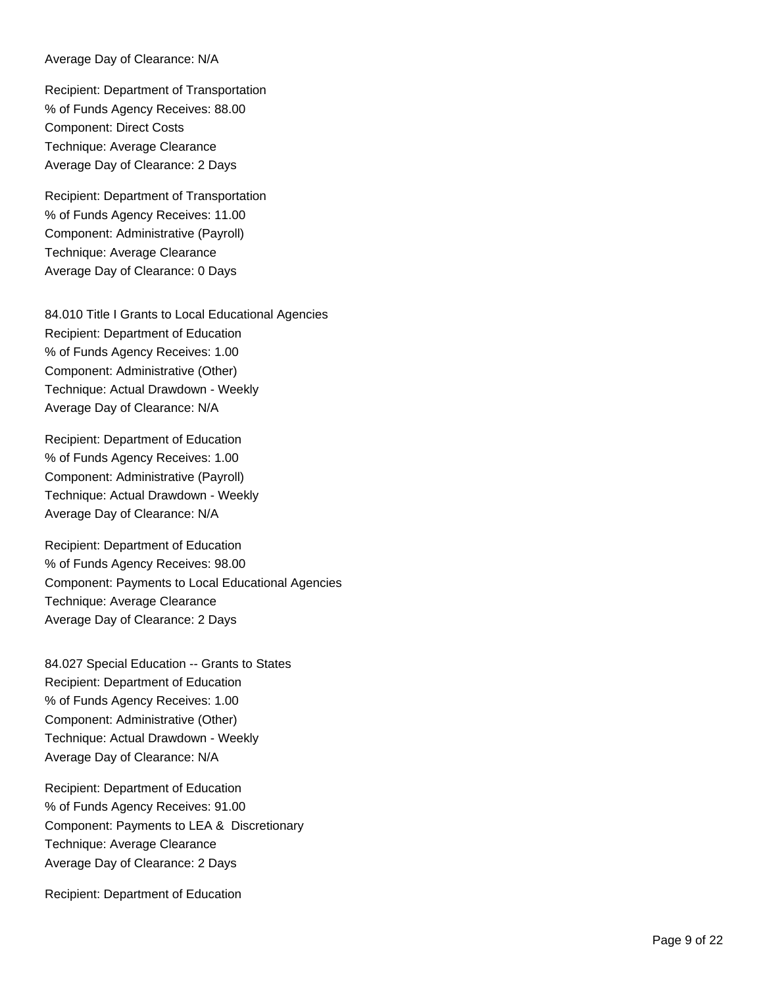#### Average Day of Clearance: N/A

Recipient: Department of Transportation % of Funds Agency Receives: 88.00 Component: Direct Costs Technique: Average Clearance Average Day of Clearance: 2 Days

Recipient: Department of Transportation % of Funds Agency Receives: 11.00 Component: Administrative (Payroll) Technique: Average Clearance Average Day of Clearance: 0 Days

84.010 Title I Grants to Local Educational Agencies Recipient: Department of Education % of Funds Agency Receives: 1.00 Component: Administrative (Other) Technique: Actual Drawdown - Weekly Average Day of Clearance: N/A

Recipient: Department of Education % of Funds Agency Receives: 1.00 Component: Administrative (Payroll) Technique: Actual Drawdown - Weekly Average Day of Clearance: N/A

Recipient: Department of Education % of Funds Agency Receives: 98.00 Component: Payments to Local Educational Agencies Technique: Average Clearance Average Day of Clearance: 2 Days

84.027 Special Education -- Grants to States Recipient: Department of Education % of Funds Agency Receives: 1.00 Component: Administrative (Other) Technique: Actual Drawdown - Weekly Average Day of Clearance: N/A

Recipient: Department of Education % of Funds Agency Receives: 91.00 Component: Payments to LEA & Discretionary Technique: Average Clearance Average Day of Clearance: 2 Days

Recipient: Department of Education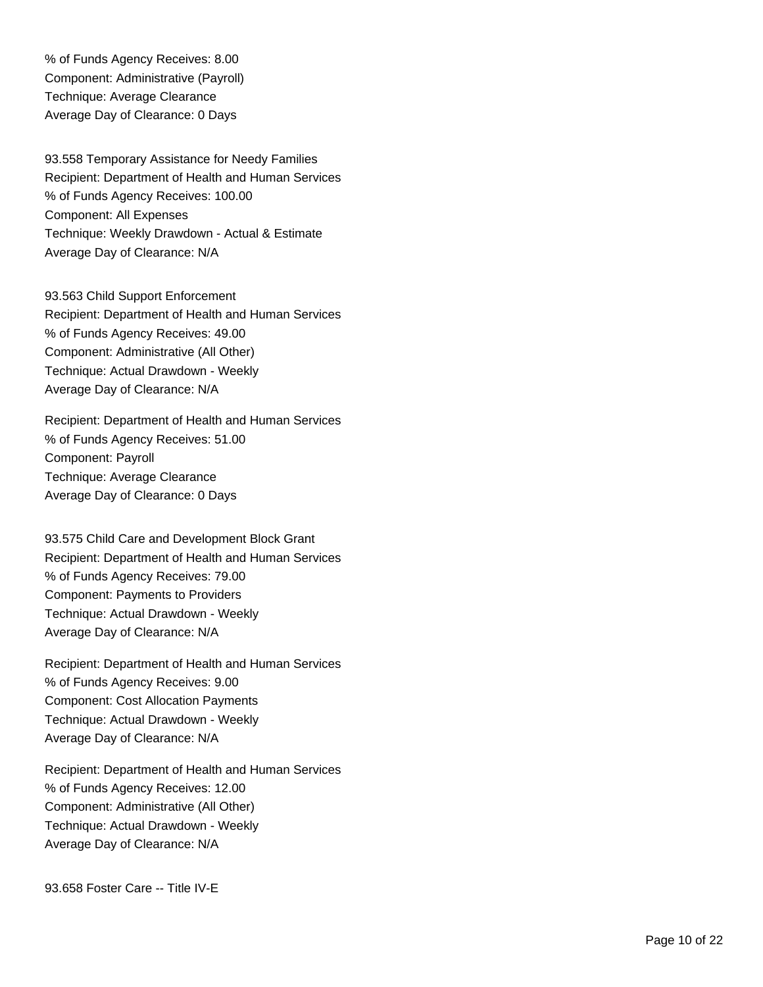% of Funds Agency Receives: 8.00 Component: Administrative (Payroll) Technique: Average Clearance Average Day of Clearance: 0 Days

93.558 Temporary Assistance for Needy Families Recipient: Department of Health and Human Services % of Funds Agency Receives: 100.00 Component: All Expenses Technique: Weekly Drawdown - Actual & Estimate Average Day of Clearance: N/A

93.563 Child Support Enforcement Recipient: Department of Health and Human Services % of Funds Agency Receives: 49.00 Component: Administrative (All Other) Technique: Actual Drawdown - Weekly Average Day of Clearance: N/A

Recipient: Department of Health and Human Services % of Funds Agency Receives: 51.00 Component: Payroll Technique: Average Clearance Average Day of Clearance: 0 Days

93.575 Child Care and Development Block Grant Recipient: Department of Health and Human Services % of Funds Agency Receives: 79.00 Component: Payments to Providers Technique: Actual Drawdown - Weekly Average Day of Clearance: N/A

Recipient: Department of Health and Human Services % of Funds Agency Receives: 9.00 Component: Cost Allocation Payments Technique: Actual Drawdown - Weekly Average Day of Clearance: N/A

Recipient: Department of Health and Human Services % of Funds Agency Receives: 12.00 Component: Administrative (All Other) Technique: Actual Drawdown - Weekly Average Day of Clearance: N/A

93.658 Foster Care -- Title IV-E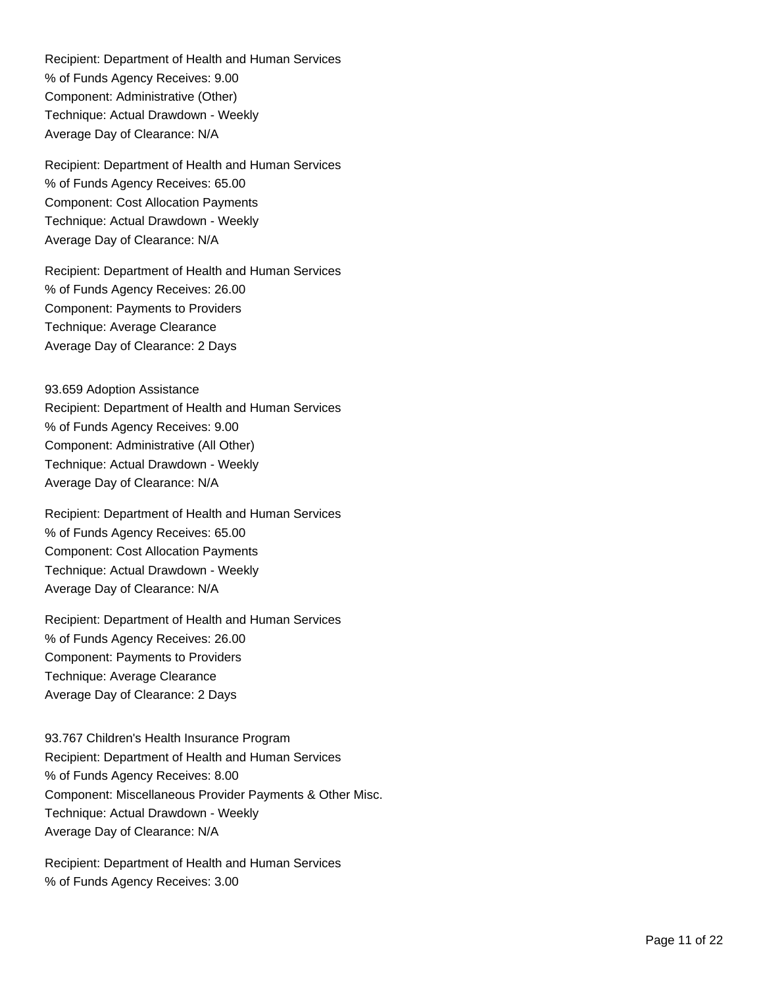Recipient: Department of Health and Human Services % of Funds Agency Receives: 9.00 Component: Administrative (Other) Technique: Actual Drawdown - Weekly Average Day of Clearance: N/A

Recipient: Department of Health and Human Services % of Funds Agency Receives: 65.00 Component: Cost Allocation Payments Technique: Actual Drawdown - Weekly Average Day of Clearance: N/A

Recipient: Department of Health and Human Services % of Funds Agency Receives: 26.00 Component: Payments to Providers Technique: Average Clearance Average Day of Clearance: 2 Days

93.659 Adoption Assistance Recipient: Department of Health and Human Services % of Funds Agency Receives: 9.00 Component: Administrative (All Other) Technique: Actual Drawdown - Weekly Average Day of Clearance: N/A

Recipient: Department of Health and Human Services % of Funds Agency Receives: 65.00 Component: Cost Allocation Payments Technique: Actual Drawdown - Weekly Average Day of Clearance: N/A

Recipient: Department of Health and Human Services % of Funds Agency Receives: 26.00 Component: Payments to Providers Technique: Average Clearance Average Day of Clearance: 2 Days

93.767 Children's Health Insurance Program Recipient: Department of Health and Human Services % of Funds Agency Receives: 8.00 Component: Miscellaneous Provider Payments & Other Misc. Technique: Actual Drawdown - Weekly Average Day of Clearance: N/A

Recipient: Department of Health and Human Services % of Funds Agency Receives: 3.00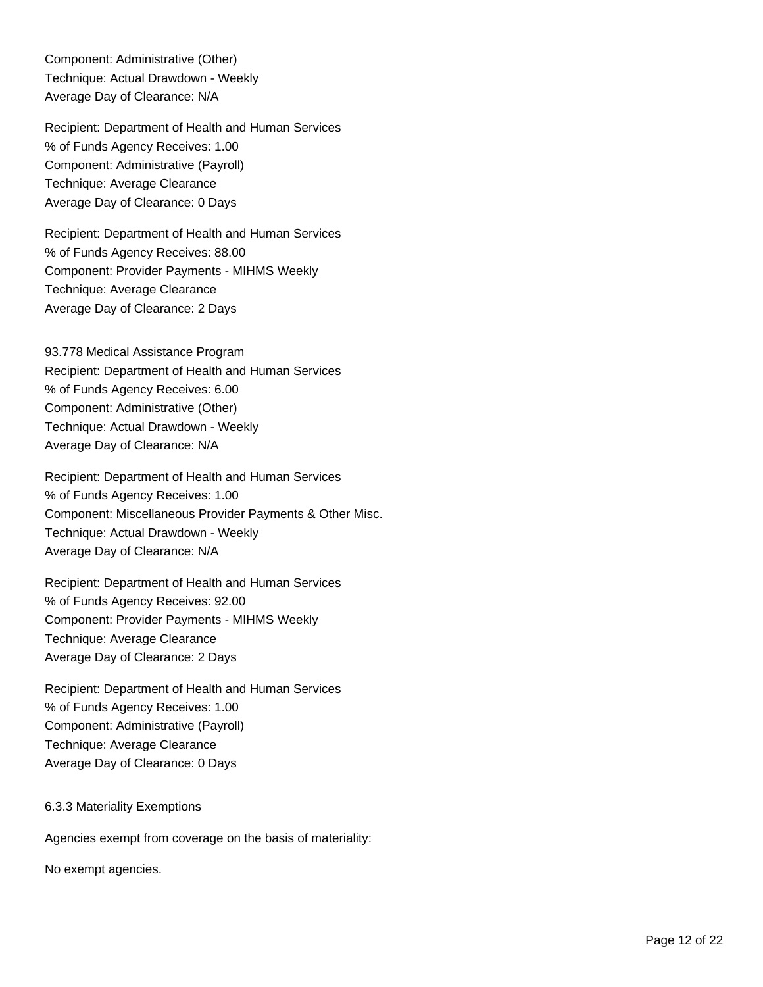Component: Administrative (Other) Technique: Actual Drawdown - Weekly Average Day of Clearance: N/A

Recipient: Department of Health and Human Services % of Funds Agency Receives: 1.00 Component: Administrative (Payroll) Technique: Average Clearance Average Day of Clearance: 0 Days

Recipient: Department of Health and Human Services % of Funds Agency Receives: 88.00 Component: Provider Payments - MIHMS Weekly Technique: Average Clearance Average Day of Clearance: 2 Days

93.778 Medical Assistance Program Recipient: Department of Health and Human Services % of Funds Agency Receives: 6.00 Component: Administrative (Other) Technique: Actual Drawdown - Weekly Average Day of Clearance: N/A

Recipient: Department of Health and Human Services % of Funds Agency Receives: 1.00 Component: Miscellaneous Provider Payments & Other Misc. Technique: Actual Drawdown - Weekly Average Day of Clearance: N/A

Recipient: Department of Health and Human Services % of Funds Agency Receives: 92.00 Component: Provider Payments - MIHMS Weekly Technique: Average Clearance Average Day of Clearance: 2 Days

Recipient: Department of Health and Human Services % of Funds Agency Receives: 1.00 Component: Administrative (Payroll) Technique: Average Clearance Average Day of Clearance: 0 Days

6.3.3 Materiality Exemptions

Agencies exempt from coverage on the basis of materiality:

No exempt agencies.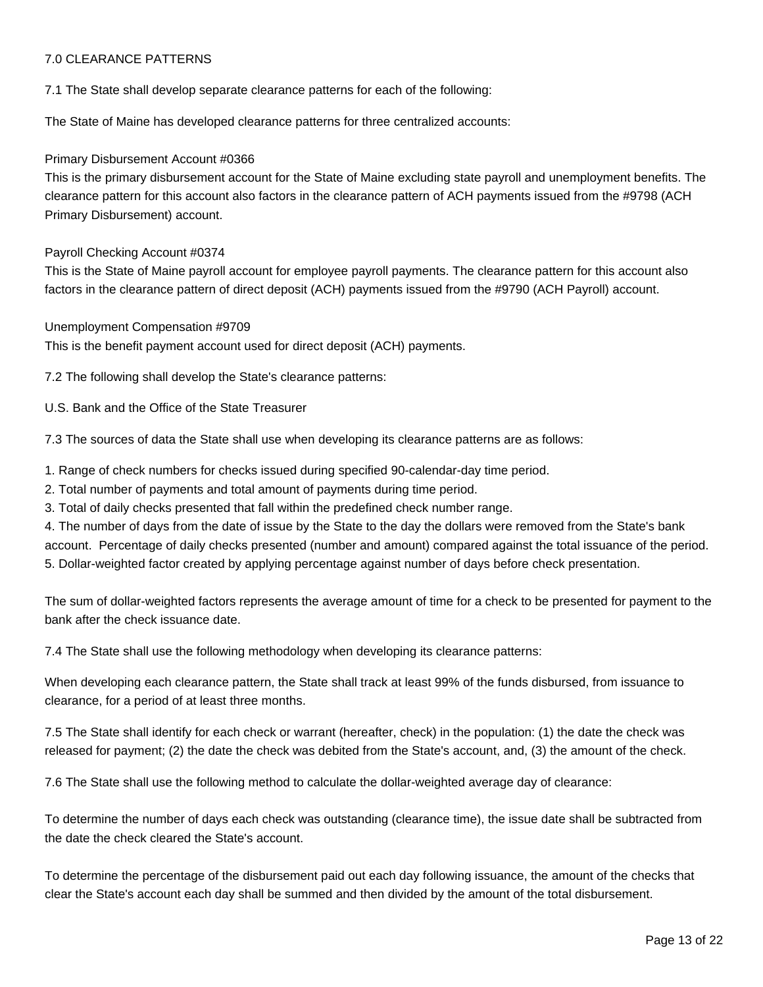# 7.0 CLEARANCE PATTERNS

7.1 The State shall develop separate clearance patterns for each of the following:

The State of Maine has developed clearance patterns for three centralized accounts:

#### Primary Disbursement Account #0366

This is the primary disbursement account for the State of Maine excluding state payroll and unemployment benefits. The clearance pattern for this account also factors in the clearance pattern of ACH payments issued from the #9798 (ACH Primary Disbursement) account.

#### Payroll Checking Account #0374

This is the State of Maine payroll account for employee payroll payments. The clearance pattern for this account also factors in the clearance pattern of direct deposit (ACH) payments issued from the #9790 (ACH Payroll) account.

#### Unemployment Compensation #9709

This is the benefit payment account used for direct deposit (ACH) payments.

7.2 The following shall develop the State's clearance patterns:

U.S. Bank and the Office of the State Treasurer

7.3 The sources of data the State shall use when developing its clearance patterns are as follows:

1. Range of check numbers for checks issued during specified 90-calendar-day time period.

2. Total number of payments and total amount of payments during time period.

3. Total of daily checks presented that fall within the predefined check number range.

4. The number of days from the date of issue by the State to the day the dollars were removed from the State's bank account. Percentage of daily checks presented (number and amount) compared against the total issuance of the period. 5. Dollar-weighted factor created by applying percentage against number of days before check presentation.

The sum of dollar-weighted factors represents the average amount of time for a check to be presented for payment to the bank after the check issuance date.

7.4 The State shall use the following methodology when developing its clearance patterns:

When developing each clearance pattern, the State shall track at least 99% of the funds disbursed, from issuance to clearance, for a period of at least three months.

7.5 The State shall identify for each check or warrant (hereafter, check) in the population: (1) the date the check was released for payment; (2) the date the check was debited from the State's account, and, (3) the amount of the check.

7.6 The State shall use the following method to calculate the dollar-weighted average day of clearance:

To determine the number of days each check was outstanding (clearance time), the issue date shall be subtracted from the date the check cleared the State's account.

To determine the percentage of the disbursement paid out each day following issuance, the amount of the checks that clear the State's account each day shall be summed and then divided by the amount of the total disbursement.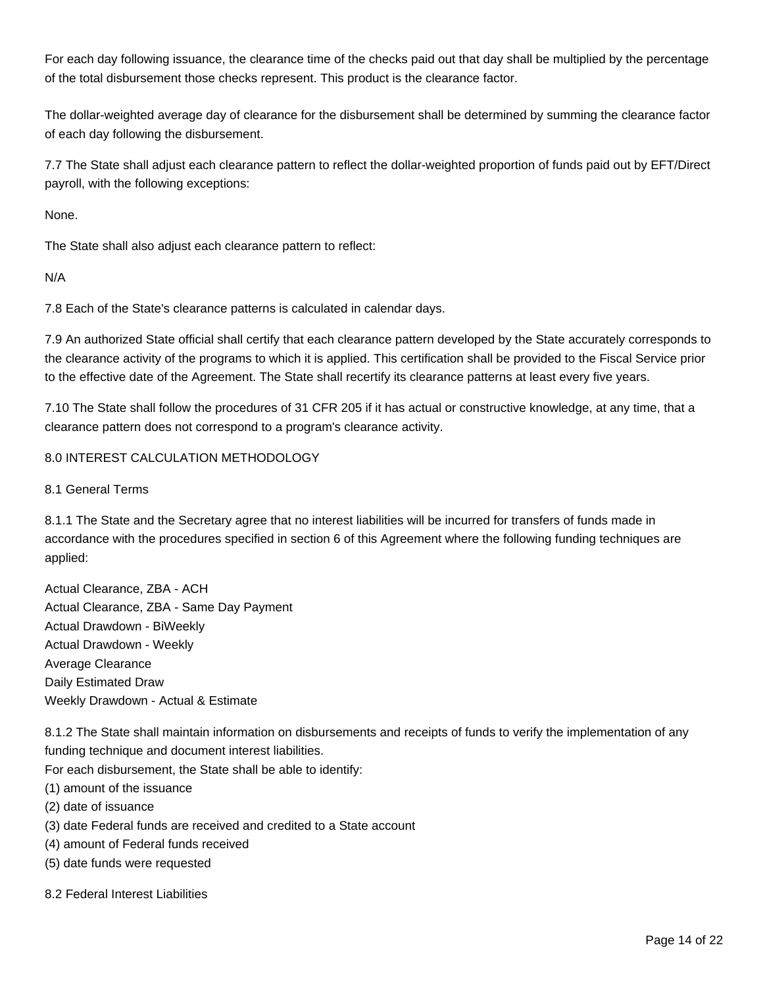For each day following issuance, the clearance time of the checks paid out that day shall be multiplied by the percentage of the total disbursement those checks represent. This product is the clearance factor.

The dollar-weighted average day of clearance for the disbursement shall be determined by summing the clearance factor of each day following the disbursement.

7.7 The State shall adjust each clearance pattern to reflect the dollar-weighted proportion of funds paid out by EFT/Direct payroll, with the following exceptions:

None.

The State shall also adjust each clearance pattern to reflect:

N/A

7.8 Each of the State's clearance patterns is calculated in calendar days.

7.9 An authorized State official shall certify that each clearance pattern developed by the State accurately corresponds to the clearance activity of the programs to which it is applied. This certification shall be provided to the Fiscal Service prior to the effective date of the Agreement. The State shall recertify its clearance patterns at least every five years.

7.10 The State shall follow the procedures of 31 CFR 205 if it has actual or constructive knowledge, at any time, that a clearance pattern does not correspond to a program's clearance activity.

# 8.0 INTEREST CALCULATION METHODOLOGY

#### 8.1 General Terms

8.1.1 The State and the Secretary agree that no interest liabilities will be incurred for transfers of funds made in accordance with the procedures specified in section 6 of this Agreement where the following funding techniques are applied:

Actual Clearance, ZBA - ACH Actual Clearance, ZBA - Same Day Payment Actual Drawdown - BiWeekly Actual Drawdown - Weekly Average Clearance Daily Estimated Draw Weekly Drawdown - Actual & Estimate

8.1.2 The State shall maintain information on disbursements and receipts of funds to verify the implementation of any funding technique and document interest liabilities.

For each disbursement, the State shall be able to identify:

- (1) amount of the issuance
- (2) date of issuance
- (3) date Federal funds are received and credited to a State account
- (4) amount of Federal funds received
- (5) date funds were requested

8.2 Federal Interest Liabilities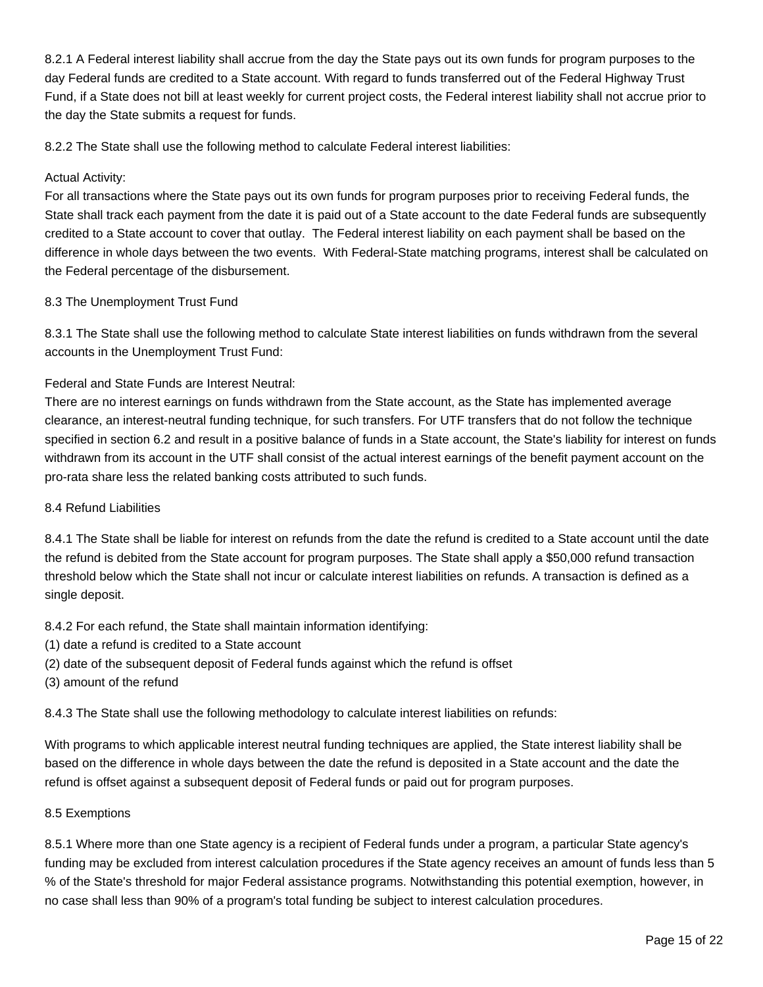8.2.1 A Federal interest liability shall accrue from the day the State pays out its own funds for program purposes to the day Federal funds are credited to a State account. With regard to funds transferred out of the Federal Highway Trust Fund, if a State does not bill at least weekly for current project costs, the Federal interest liability shall not accrue prior to the day the State submits a request for funds.

8.2.2 The State shall use the following method to calculate Federal interest liabilities:

# Actual Activity:

For all transactions where the State pays out its own funds for program purposes prior to receiving Federal funds, the State shall track each payment from the date it is paid out of a State account to the date Federal funds are subsequently credited to a State account to cover that outlay. The Federal interest liability on each payment shall be based on the difference in whole days between the two events. With Federal-State matching programs, interest shall be calculated on the Federal percentage of the disbursement.

# 8.3 The Unemployment Trust Fund

8.3.1 The State shall use the following method to calculate State interest liabilities on funds withdrawn from the several accounts in the Unemployment Trust Fund:

# Federal and State Funds are Interest Neutral:

There are no interest earnings on funds withdrawn from the State account, as the State has implemented average clearance, an interest-neutral funding technique, for such transfers. For UTF transfers that do not follow the technique specified in section 6.2 and result in a positive balance of funds in a State account, the State's liability for interest on funds withdrawn from its account in the UTF shall consist of the actual interest earnings of the benefit payment account on the pro-rata share less the related banking costs attributed to such funds.

# 8.4 Refund Liabilities

8.4.1 The State shall be liable for interest on refunds from the date the refund is credited to a State account until the date the refund is debited from the State account for program purposes. The State shall apply a \$50,000 refund transaction threshold below which the State shall not incur or calculate interest liabilities on refunds. A transaction is defined as a single deposit.

8.4.2 For each refund, the State shall maintain information identifying:

- (1) date a refund is credited to a State account
- (2) date of the subsequent deposit of Federal funds against which the refund is offset

(3) amount of the refund

8.4.3 The State shall use the following methodology to calculate interest liabilities on refunds:

With programs to which applicable interest neutral funding techniques are applied, the State interest liability shall be based on the difference in whole days between the date the refund is deposited in a State account and the date the refund is offset against a subsequent deposit of Federal funds or paid out for program purposes.

# 8.5 Exemptions

8.5.1 Where more than one State agency is a recipient of Federal funds under a program, a particular State agency's funding may be excluded from interest calculation procedures if the State agency receives an amount of funds less than 5 % of the State's threshold for major Federal assistance programs. Notwithstanding this potential exemption, however, in no case shall less than 90% of a program's total funding be subject to interest calculation procedures.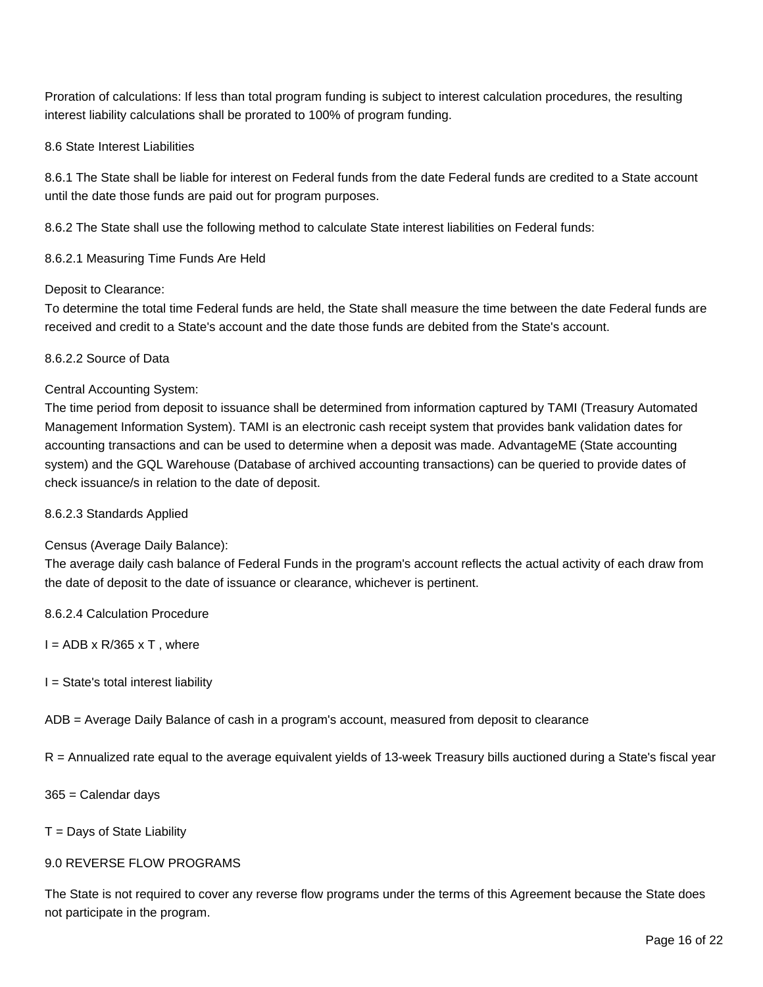Proration of calculations: If less than total program funding is subject to interest calculation procedures, the resulting interest liability calculations shall be prorated to 100% of program funding.

#### 8.6 State Interest Liabilities

8.6.1 The State shall be liable for interest on Federal funds from the date Federal funds are credited to a State account until the date those funds are paid out for program purposes.

8.6.2 The State shall use the following method to calculate State interest liabilities on Federal funds:

8.6.2.1 Measuring Time Funds Are Held

#### Deposit to Clearance:

To determine the total time Federal funds are held, the State shall measure the time between the date Federal funds are received and credit to a State's account and the date those funds are debited from the State's account.

#### 8.6.2.2 Source of Data

#### Central Accounting System:

The time period from deposit to issuance shall be determined from information captured by TAMI (Treasury Automated Management Information System). TAMI is an electronic cash receipt system that provides bank validation dates for accounting transactions and can be used to determine when a deposit was made. AdvantageME (State accounting system) and the GQL Warehouse (Database of archived accounting transactions) can be queried to provide dates of check issuance/s in relation to the date of deposit.

#### 8.6.2.3 Standards Applied

#### Census (Average Daily Balance):

The average daily cash balance of Federal Funds in the program's account reflects the actual activity of each draw from the date of deposit to the date of issuance or clearance, whichever is pertinent.

8.6.2.4 Calculation Procedure

 $I = ADB \times R/365 \times T$ , where

 $I = State's total interest liability$ 

ADB = Average Daily Balance of cash in a program's account, measured from deposit to clearance

R = Annualized rate equal to the average equivalent yields of 13-week Treasury bills auctioned during a State's fiscal year

365 = Calendar days

 $T =$  Days of State Liability

#### 9.0 REVERSE FLOW PROGRAMS

The State is not required to cover any reverse flow programs under the terms of this Agreement because the State does not participate in the program.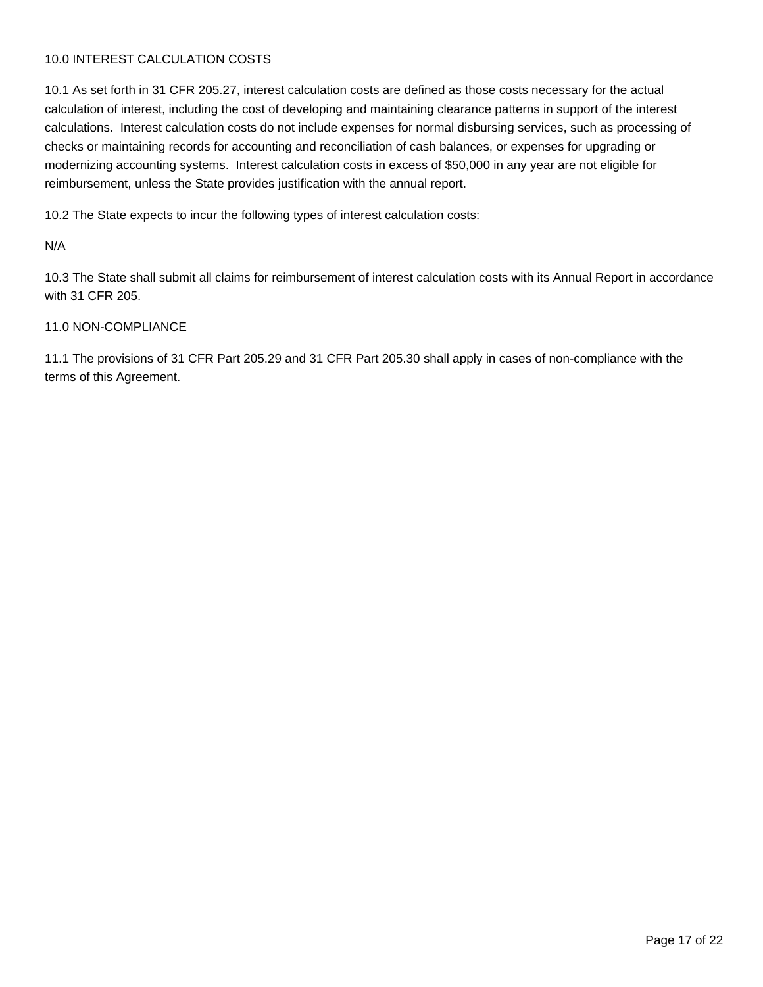# 10.0 INTEREST CALCULATION COSTS

10.1 As set forth in 31 CFR 205.27, interest calculation costs are defined as those costs necessary for the actual calculation of interest, including the cost of developing and maintaining clearance patterns in support of the interest calculations. Interest calculation costs do not include expenses for normal disbursing services, such as processing of checks or maintaining records for accounting and reconciliation of cash balances, or expenses for upgrading or modernizing accounting systems. Interest calculation costs in excess of \$50,000 in any year are not eligible for reimbursement, unless the State provides justification with the annual report.

10.2 The State expects to incur the following types of interest calculation costs:

# N/A

10.3 The State shall submit all claims for reimbursement of interest calculation costs with its Annual Report in accordance with 31 CFR 205.

#### 11.0 NON-COMPLIANCE

11.1 The provisions of 31 CFR Part 205.29 and 31 CFR Part 205.30 shall apply in cases of non-compliance with the terms of this Agreement.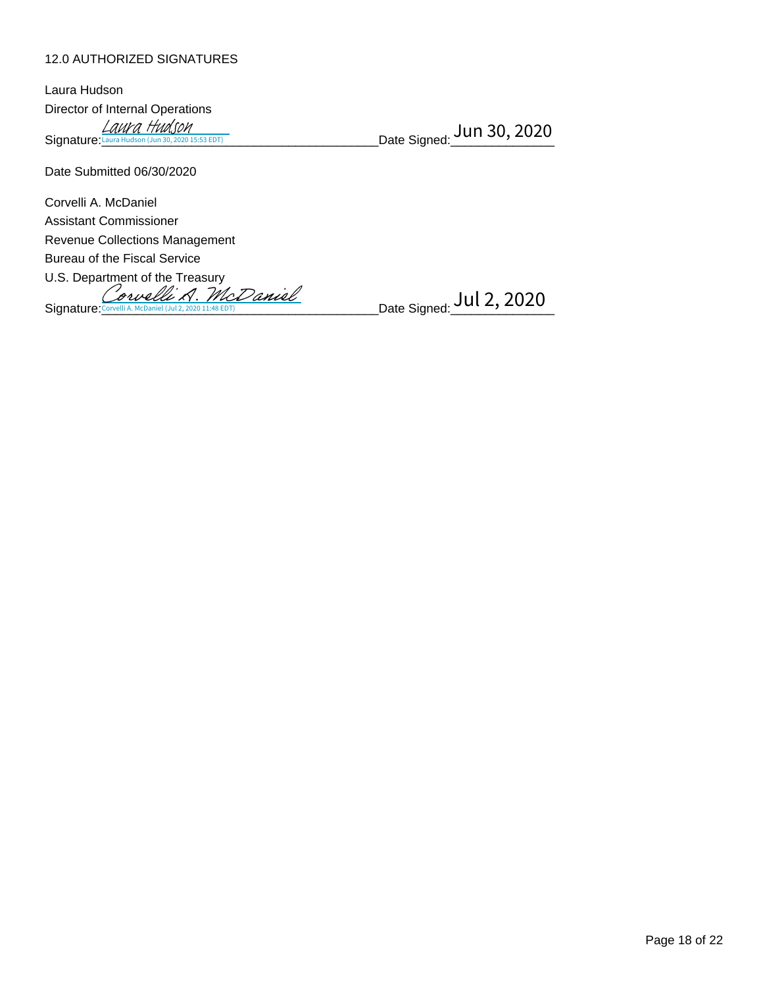# 12.0 AUTHORIZED SIGNATURES

| Laura Hudson                                                |                           |
|-------------------------------------------------------------|---------------------------|
| Director of Internal Operations                             |                           |
| $\underline{\text{LawV}}$ a Hudson (Jun 30, 2020 15:53 EDT) | Date Signed: Jun 30, 2020 |
| Date Submitted 06/30/2020                                   |                           |

Corvelli A. McDaniel Assistant Commissioner Revenue Collections Management Bureau of the Fiscal Service U.S. Department of the Treasury

Signature: [Corvelli A. McDaniel](https://cmiaelectronicsignature.na2.echosign.com/verifier?tx=CBJCHBCAABAAzzVgnyAm79wVRXPEvKUkymagfnH6cLph) (Jul 2, 2020 11:48 EDT)<br>Signature: Corvelli A. McDaniel (Jul 2, 2020 11:48 EDT)

Date Signed: <mark>Jul 2, 2020</mark>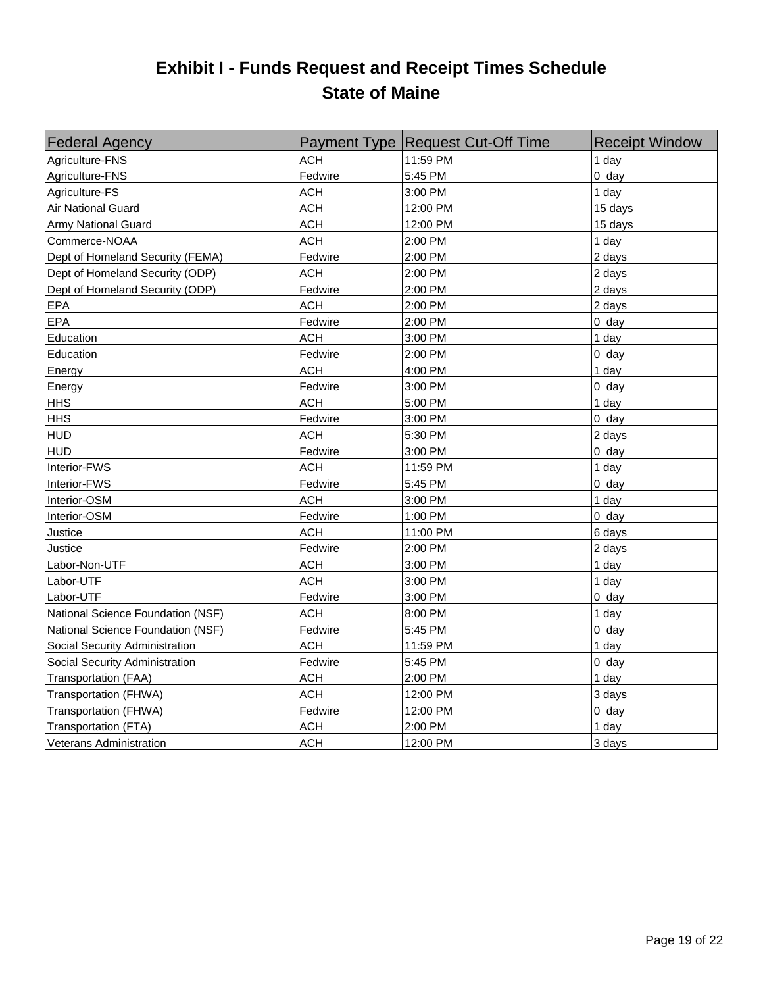# **Exhibit I - Funds Request and Receipt Times Schedule State of Maine**

| <b>Federal Agency</b>             |            | Payment Type Request Cut-Off Time | <b>Receipt Window</b> |
|-----------------------------------|------------|-----------------------------------|-----------------------|
| Agriculture-FNS                   | <b>ACH</b> | 11:59 PM                          | 1 day                 |
| Agriculture-FNS                   | Fedwire    | 5:45 PM                           | $0$ day               |
| Agriculture-FS                    | <b>ACH</b> | 3:00 PM                           | 1 day                 |
| Air National Guard                | <b>ACH</b> | 12:00 PM                          | 15 days               |
| Army National Guard               | <b>ACH</b> | 12:00 PM                          | 15 days               |
| Commerce-NOAA                     | <b>ACH</b> | 2:00 PM                           | 1 day                 |
| Dept of Homeland Security (FEMA)  | Fedwire    | 2:00 PM                           | 2 days                |
| Dept of Homeland Security (ODP)   | ACH        | 2:00 PM                           | 2 days                |
| Dept of Homeland Security (ODP)   | Fedwire    | 2:00 PM                           | 2 days                |
| EPA                               | ACH        | 2:00 PM                           | 2 days                |
| EPA                               | Fedwire    | 2:00 PM                           | $0$ day               |
| Education                         | <b>ACH</b> | 3:00 PM                           | 1 day                 |
| Education                         | Fedwire    | 2:00 PM                           | $0$ day               |
| Energy                            | <b>ACH</b> | 4:00 PM                           | 1 day                 |
| Energy                            | Fedwire    | 3:00 PM                           | $0$ day               |
| <b>HHS</b>                        | <b>ACH</b> | 5:00 PM                           | 1 day                 |
| <b>HHS</b>                        | Fedwire    | 3:00 PM                           | $0$ day               |
| <b>HUD</b>                        | <b>ACH</b> | 5:30 PM                           | 2 days                |
| <b>HUD</b>                        | Fedwire    | 3:00 PM                           | $0$ day               |
| Interior-FWS                      | <b>ACH</b> | 11:59 PM                          | 1 day                 |
| Interior-FWS                      | Fedwire    | 5:45 PM                           | $0$ day               |
| Interior-OSM                      | <b>ACH</b> | 3:00 PM                           | 1 day                 |
| Interior-OSM                      | Fedwire    | 1:00 PM                           | $0$ day               |
| Justice                           | <b>ACH</b> | 11:00 PM                          | 6 days                |
| Justice                           | Fedwire    | 2:00 PM                           | 2 days                |
| Labor-Non-UTF                     | <b>ACH</b> | 3:00 PM                           | 1 day                 |
| Labor-UTF                         | <b>ACH</b> | 3:00 PM                           | 1 day                 |
| Labor-UTF                         | Fedwire    | 3:00 PM                           | $0$ day               |
| National Science Foundation (NSF) | ACH        | 8:00 PM                           | 1 day                 |
| National Science Foundation (NSF) | Fedwire    | 5:45 PM                           | $0$ day               |
| Social Security Administration    | <b>ACH</b> | 11:59 PM                          | 1 day                 |
| Social Security Administration    | Fedwire    | 5:45 PM                           | $0$ day               |
| Transportation (FAA)              | ACH        | 2:00 PM                           | 1 day                 |
| Transportation (FHWA)             | <b>ACH</b> | 12:00 PM                          | 3 days                |
| Transportation (FHWA)             | Fedwire    | 12:00 PM                          | $0$ day               |
| Transportation (FTA)              | <b>ACH</b> | 2:00 PM                           | 1 day                 |
| <b>Veterans Administration</b>    | <b>ACH</b> | 12:00 PM                          | 3 days                |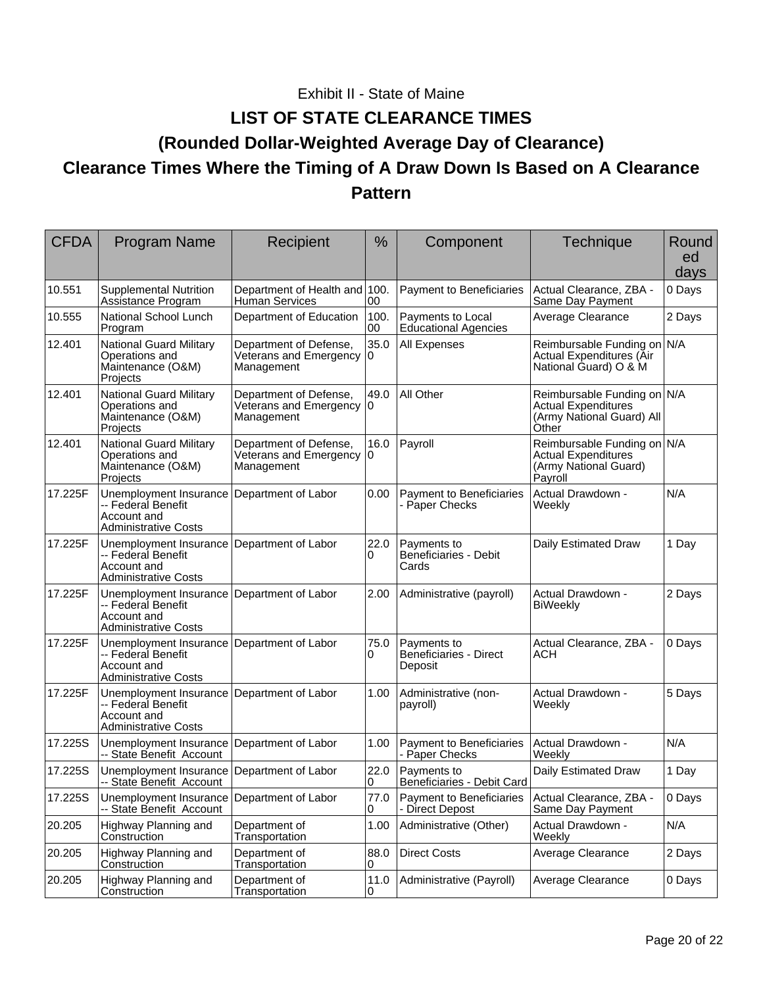# Exhibit II - State of Maine

# **LIST OF STATE CLEARANCE TIMES (Rounded Dollar-Weighted Average Day of Clearance) Clearance Times Where the Timing of A Draw Down Is Based on A Clearance Pattern**

| <b>CFDA</b> | <b>Program Name</b>                                                                        | Recipient                                                      | $\frac{0}{0}$ | Component                                               | Technique                                                                                       | Round<br>ed<br>days |
|-------------|--------------------------------------------------------------------------------------------|----------------------------------------------------------------|---------------|---------------------------------------------------------|-------------------------------------------------------------------------------------------------|---------------------|
| 10.551      | <b>Supplemental Nutrition</b><br>Assistance Program                                        | Department of Health and 100.<br><b>Human Services</b>         | 00            | Payment to Beneficiaries                                | Actual Clearance, ZBA -<br>Same Day Payment                                                     | 0 Days              |
| 10.555      | National School Lunch<br>Program                                                           | Department of Education                                        | 100.<br>00    | Payments to Local<br><b>Educational Agencies</b>        | Average Clearance                                                                               | 2 Days              |
| 12.401      | <b>National Guard Military</b><br>Operations and<br>Maintenance (O&M)<br>Projects          | Department of Defense,<br>Veterans and Emergency<br>Management | 35.0<br>0     | All Expenses                                            | Reimbursable Funding on<br>Actual Expenditures (Āir<br>National Guard) O & M                    | N/A                 |
| 12.401      | <b>National Guard Military</b><br>Operations and<br>Maintenance (O&M)<br>Projects          | Department of Defense,<br>Veterans and Emergency<br>Management | 49.0<br>0     | All Other                                               | Reimbursable Funding on N/A<br><b>Actual Expenditures</b><br>(Army National Guard) All<br>Other |                     |
| 12.401      | <b>National Guard Military</b><br>Operations and<br>Maintenance (O&M)<br>Projects          | Department of Defense,<br>Veterans and Emergency<br>Management | 16.0<br>0     | Payroll                                                 | Reimbursable Funding on N/A<br><b>Actual Expenditures</b><br>(Army National Guard)<br>Payroll   |                     |
| 17.225F     | Unemployment Insurance<br>-- Federal Benefit<br>Account and<br><b>Administrative Costs</b> | Department of Labor                                            | 0.00          | Payment to Beneficiaries<br>- Paper Checks              | Actual Drawdown -<br>Weekly                                                                     | N/A                 |
| 17.225F     | Unemployment Insurance<br>-- Federal Benefit<br>Account and<br><b>Administrative Costs</b> | Department of Labor                                            | 22.0<br>0     | Payments to<br><b>Beneficiaries - Debit</b><br>Cards    | Daily Estimated Draw                                                                            | 1 Day               |
| 17.225F     | Unemployment Insurance<br>-- Federal Benefit<br>Account and<br><b>Administrative Costs</b> | Department of Labor                                            | 2.00          | Administrative (payroll)                                | Actual Drawdown -<br><b>BiWeekly</b>                                                            | 2 Days              |
| 17.225F     | Unemployment Insurance<br>-- Federal Benefit<br>Account and<br><b>Administrative Costs</b> | Department of Labor                                            | 75.0<br>0     | Payments to<br><b>Beneficiaries - Direct</b><br>Deposit | Actual Clearance, ZBA -<br>АСН                                                                  | 0 Days              |
| 17.225F     | Unemployment Insurance<br>-- Federal Benefit<br>Account and<br><b>Administrative Costs</b> | Department of Labor                                            | 1.00          | Administrative (non-<br>payroll)                        | Actual Drawdown -<br>Weekly                                                                     | 5 Days              |
| 17.225S     | Unemployment Insurance Department of Labor<br>-- State Benefit Account                     |                                                                | 1.00          | Payment to Beneficiaries<br>- Paper Checks              | Actual Drawdown -<br>Weekly                                                                     | N/A                 |
| 17.225S     | Unemployment Insurance Department of Labor<br>-- State Benefit Account                     |                                                                | 22.0<br>0     | Payments to<br>Beneficiaries - Debit Card               | Daily Estimated Draw                                                                            | 1 Day               |
| 17.225S     | Unemployment Insurance<br>-- State Benefit Account                                         | Department of Labor                                            | 77.0<br>0     | Payment to Beneficiaries<br><b>Direct Depost</b>        | Actual Clearance, ZBA -<br>Same Day Payment                                                     | 0 Days              |
| 20.205      | Highway Planning and<br>Construction                                                       | Department of<br>Transportation                                | 1.00          | Administrative (Other)                                  | Actual Drawdown -<br>Weekly                                                                     | N/A                 |
| 20.205      | Highway Planning and<br>Construction                                                       | Department of<br>Transportation                                | 88.0<br>0     | <b>Direct Costs</b>                                     | Average Clearance                                                                               | 2 Days              |
| 20.205      | Highway Planning and<br>Construction                                                       | Department of<br>Transportation                                | 11.0<br>0     | Administrative (Payroll)                                | Average Clearance                                                                               | 0 Days              |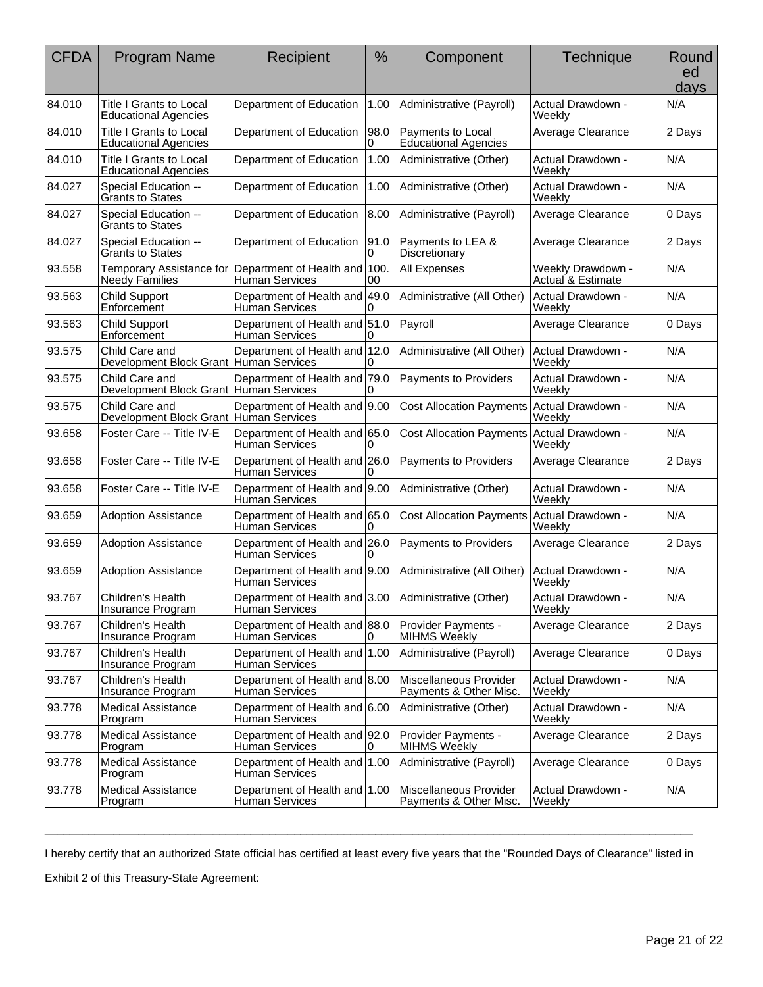| <b>CFDA</b> | <b>Program Name</b>                                        | Recipient                                              | %          | Component                                        | <b>Technique</b>                                  | Round<br>ed<br>days |
|-------------|------------------------------------------------------------|--------------------------------------------------------|------------|--------------------------------------------------|---------------------------------------------------|---------------------|
| 84.010      | Title I Grants to Local<br><b>Educational Agencies</b>     | Department of Education                                | 1.00       | Administrative (Payroll)                         | Actual Drawdown -<br>Weekly                       | N/A                 |
| 84.010      | Title I Grants to Local<br><b>Educational Agencies</b>     | Department of Education                                | 98.0 <br>0 | Payments to Local<br><b>Educational Agencies</b> | Average Clearance                                 | 2 Days              |
| 84.010      | Title I Grants to Local<br><b>Educational Agencies</b>     | Department of Education                                | 1.00       | Administrative (Other)                           | Actual Drawdown -<br>Weekly                       | N/A                 |
| 84.027      | Special Education --<br><b>Grants to States</b>            | Department of Education                                | 1.00       | Administrative (Other)                           | Actual Drawdown -<br>Weeklv                       | N/A                 |
| 84.027      | Special Education --<br><b>Grants to States</b>            | Department of Education                                | 8.00       | Administrative (Payroll)                         | Average Clearance                                 | 0 Days              |
| 84.027      | Special Education --<br><b>Grants to States</b>            | Department of Education                                | 91.0<br>0  | Payments to LEA &<br>Discretionary               | Average Clearance                                 | 2 Days              |
| 93.558      | Temporary Assistance for<br><b>Needy Families</b>          | Department of Health and 100.<br>Human Services        | 00         | All Expenses                                     | Weekly Drawdown -<br><b>Actual &amp; Estimate</b> | N/A                 |
| 93.563      | <b>Child Support</b><br>Enforcement                        | Department of Health and 49.0<br><b>Human Services</b> | 0          | Administrative (All Other)                       | Actual Drawdown -<br>Weekly                       | N/A                 |
| 93.563      | <b>Child Support</b><br>Enforcement                        | Department of Health and 51.0<br><b>Human Services</b> |            | Payroll                                          | Average Clearance                                 | 0 Days              |
| 93.575      | Child Care and<br>Development Block Grant   Human Services | Department of Health and 12.0                          | 0          | Administrative (All Other)                       | Actual Drawdown -<br>Weekly                       | N/A                 |
| 93.575      | Child Care and<br>Development Block Grant Human Services   | Department of Health and 79.0                          | 0          | Payments to Providers                            | Actual Drawdown -<br>Weekly                       | N/A                 |
| 93.575      | Child Care and<br>Development Block Grant Human Services   | Department of Health and 9.00                          |            | <b>Cost Allocation Payments</b>                  | Actual Drawdown -<br>Weekly                       | N/A                 |
| 93.658      | Foster Care -- Title IV-E                                  | Department of Health and 65.0<br>Human Services        | 0          | <b>Cost Allocation Payments</b>                  | Actual Drawdown -<br>Weekly                       | N/A                 |
| 93.658      | Foster Care -- Title IV-E                                  | Department of Health and 26.0<br><b>Human Services</b> |            | Payments to Providers                            | Average Clearance                                 | 2 Days              |
| 93.658      | Foster Care -- Title IV-E                                  | Department of Health and 9.00<br><b>Human Services</b> |            | Administrative (Other)                           | Actual Drawdown -<br>Weekly                       | N/A                 |
| 93.659      | <b>Adoption Assistance</b>                                 | Department of Health and 65.0<br>Human Services        |            | <b>Cost Allocation Payments</b>                  | Actual Drawdown -<br>Weekly                       | N/A                 |
| 93.659      | <b>Adoption Assistance</b>                                 | Department of Health and 26.0<br>Human Services        | 0          | Payments to Providers                            | Average Clearance                                 | 2 Days              |
| 93.659      | <b>Adoption Assistance</b>                                 | Department of Health and 9.00<br>Human Services        |            | Administrative (All Other)                       | Actual Drawdown -<br>Weekly                       | N/A                 |
| 93.767      | Children's Health<br>Insurance Program                     | Department of Health and 3.00<br><b>Human Services</b> |            | Administrative (Other)                           | Actual Drawdown -<br>Weekly                       | N/A                 |
| 93.767      | Children's Health<br>Insurance Program                     | Department of Health and 88.0<br><b>Human Services</b> | 0          | Provider Payments -<br><b>MIHMS Weekly</b>       | Average Clearance                                 | 2 Days              |
| 93.767      | Children's Health<br>Insurance Program                     | Department of Health and 1.00<br><b>Human Services</b> |            | Administrative (Payroll)                         | Average Clearance                                 | 0 Days              |
| 93.767      | Children's Health<br>Insurance Program                     | Department of Health and 8.00<br>Human Services        |            | Miscellaneous Provider<br>Payments & Other Misc. | Actual Drawdown -<br>Weekly                       | N/A                 |
| 93.778      | <b>Medical Assistance</b><br>Program                       | Department of Health and 6.00<br><b>Human Services</b> |            | Administrative (Other)                           | Actual Drawdown -<br>Weekly                       | N/A                 |
| 93.778      | <b>Medical Assistance</b><br>Program                       | Department of Health and 92.0<br><b>Human Services</b> | 0          | Provider Payments -<br><b>MIHMS Weekly</b>       | Average Clearance                                 | 2 Days              |
| 93.778      | <b>Medical Assistance</b><br>Program                       | Department of Health and 1.00<br>Human Services        |            | Administrative (Payroll)                         | Average Clearance                                 | 0 Days              |
| 93.778      | <b>Medical Assistance</b><br>Program                       | Department of Health and 1.00<br><b>Human Services</b> |            | Miscellaneous Provider<br>Payments & Other Misc. | Actual Drawdown -<br>Weekly                       | N/A                 |

\_\_\_\_\_\_\_\_\_\_\_\_\_\_\_\_\_\_\_\_\_\_\_\_\_\_\_\_\_\_\_\_\_\_\_\_\_\_\_\_\_\_\_\_\_\_\_\_\_\_\_\_\_\_\_\_\_\_\_\_\_\_\_\_\_\_\_\_\_\_\_\_\_\_\_\_\_\_\_\_\_\_\_\_\_\_\_\_\_\_\_\_\_\_\_\_\_\_\_\_\_\_\_\_ I hereby certify that an authorized State official has certified at least every five years that the "Rounded Days of Clearance" listed in

Exhibit 2 of this Treasury-State Agreement: